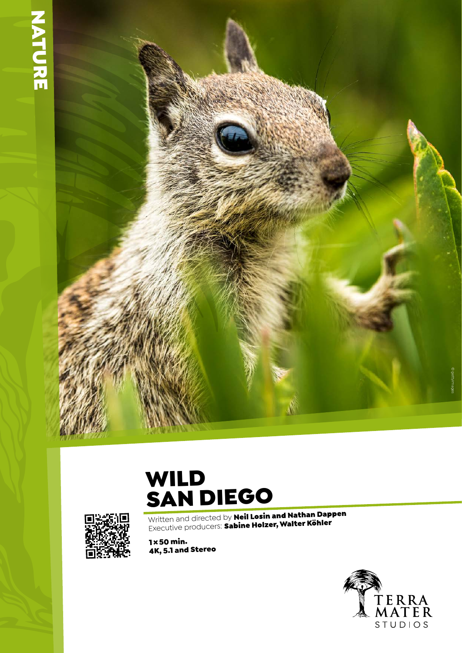## **NATURE**



## WILD SAN DIEGO



Written and directed by Neil Losin and Nathan Dappen Willterfahd directed by The Holzer, Walter Köhler

1×50 min. 4K, 5.1 and Stereo